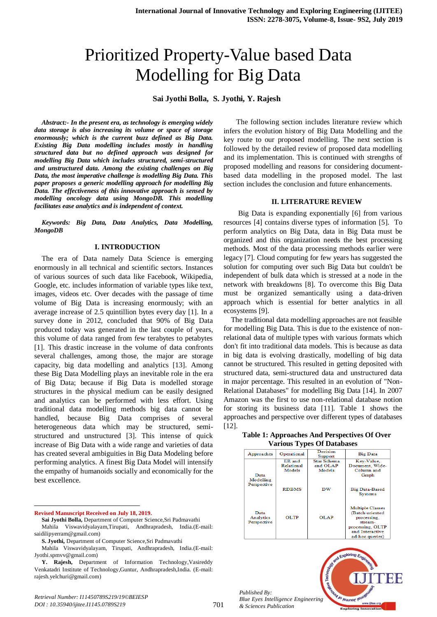# Prioritized Property-Value based Data Modelling for Big Data

#### **Sai Jyothi Bolla, S. Jyothi, Y. Rajesh**

*Abstract:- In the present era, as technology is emerging widely data storage is also increasing its volume or space of storage enormously; which is the current buzz defined as Big Data. Existing Big Data modelling includes mostly in handling structured data but no defined approach was designed for modelling Big Data which includes structured, semi-structured and unstructured data. Among the existing challenges on Big Data, the most imperative challenge is modelling Big Data. This paper proposes a generic modelling approach for modelling Big Data. The effectiveness of this innovative approach is sensed by modelling oncology data using MongoDB. This modelling facilitates ease analytics and is independent of context.* 

*Keywords: Big Data, Data Analytics, Data Modelling, MongoDB*

#### **I. INTRODUCTION**

The era of Data namely Data Science is emerging enormously in all technical and scientific sectors. Instances of various sources of such data like Facebook, Wikipedia, Google, etc. includes information of variable types like text, images, videos etc. Over decades with the passage of time volume of Big Data is increasing enormously; with an average increase of 2.5 quintillion bytes every day [1]. In a survey done in 2012, concluded that 90% of Big Data produced today was generated in the last couple of years, this volume of data ranged from few terabytes to petabytes [1]. This drastic increase in the volume of data confronts several challenges, among those, the major are storage capacity, big data modelling and analytics [13]. Among these Big Data Modelling plays an inevitable role in the era of Big Data; because if Big Data is modelled storage structures in the physical medium can be easily designed and analytics can be performed with less effort. Using traditional data modelling methods big data cannot be handled, because Big Data comprises of several heterogeneous data which may be structured, semistructured and unstructured [3]. This intense of quick increase of Big Data with a wide range and varieties of data has created several ambiguities in Big Data Modeling before performing analytics. A finest Big Data Model will intensify the empathy of humanoids socially and economically for the best excellence.

**Revised Manuscript Received on July 18, 2019.**

 $\overline{a}$ 

 The following section includes literature review which infers the evolution history of Big Data Modelling and the key route to our proposed modelling. The next section is followed by the detailed review of proposed data modelling and its implementation. This is continued with strengths of proposed modelling and reasons for considering documentbased data modelling in the proposed model. The last section includes the conclusion and future enhancements.

#### **II. LITERATURE REVIEW**

 Big Data is expanding exponentially [6] from various resources [4] contains diverse types of information [5]. To perform analytics on Big Data, data in Big Data must be organized and this organization needs the best processing methods. Most of the data processing methods earlier were legacy [7]. Cloud computing for few years has suggested the solution for computing over such Big Data but couldn't be independent of bulk data which is stressed at a node in the network with breakdowns [8]. To overcome this Big Data must be organized semantically using a data-driven approach which is essential for better analytics in all ecosystems [9].

The traditional data modelling approaches are not feasible for modelling Big Data. This is due to the existence of nonrelational data of multiple types with various formats which don't fit into traditional data models. This is because as data in big data is evolving drastically, modelling of big data cannot be structured. This resulted in getting deposited with structured data, semi-structured data and unstructured data in major percentage. This resulted in an evolution of "Non-Relational Databases" for modelling Big Data [14]. In 2007 Amazon was the first to use non-relational database notion for storing its business data [11]. Table 1 shows the approaches and perspective over different types of databases [12].

#### **Table 1: Approaches And Perspectives Of Over Various Types Of Databases**

| Approaches                              | Operational                    | Decision<br>Support               | <b>Big Data</b>                                                                                                                |  |
|-----------------------------------------|--------------------------------|-----------------------------------|--------------------------------------------------------------------------------------------------------------------------------|--|
| Data<br>Modelling<br>Perspective        | ER and<br>Relational<br>Models | Star Schema<br>and OLAP<br>Models | Key-Value.<br>Document, Wide-<br>Column and<br>Graph                                                                           |  |
|                                         | <b>RDBMS</b>                   | DW                                | <b>Big Data-Based</b><br><b>Systems</b>                                                                                        |  |
| Data<br><b>Analytics</b><br>Perspective | OLTP.                          | <b>OLAP</b>                       | <b>Multiple Classes</b><br>(Batch-oriented<br>processing.<br>stream-<br>processing, OLTP<br>and Interactive<br>ad-hoc queries) |  |

*Published By: Blue Eyes Intelligence Engineering & Sciences Publication* 



**Sai Jyothi Bolla,** Department of Computer Science,Sri Padmavathi

Mahila Viswavidyalayam,Tirupati, Andhrapradesh, India.(E-mail: saidilipyerram@gmail.com)

**S. Jyothi,** Department of Computer Science,Sri Padmavathi

Mahila Viswavidyalayam, Tirupati, Andhrapradesh, India.(E-mail: Jyothi.spmvv@gmail.com)

**Y. Rajesh,** Department of Information Technology,Vasireddy Venkatadri Institute of Technology,Guntur, Andhrapradesh,India. (E-mail: rajesh.yelchuri@gmail.com)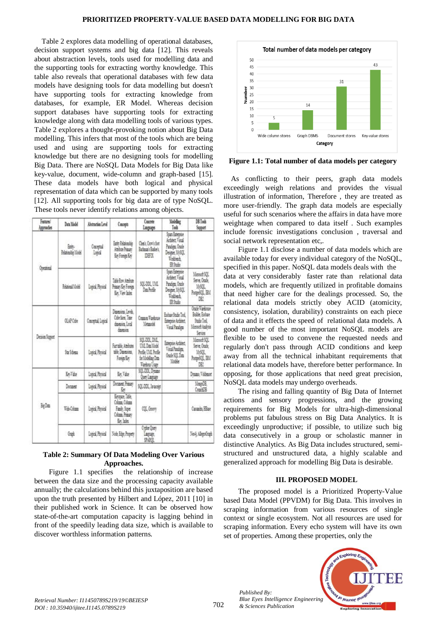Table 2 explores data modelling of operational databases, decision support systems and big data [12]. This reveals about abstraction levels, tools used for modelling data and the supporting tools for extracting worthy knowledge. This table also reveals that operational databases with few data models have designing tools for data modelling but doesn't have supporting tools for extracting knowledge from databases, for example, ER Model. Whereas decision support databases have supporting tools for extracting knowledge along with data modelling tools of various types. Table 2 explores a thought-provoking notion about Big Data modelling. This infers that most of the tools which are being used and using are supporting tools for extracting knowledge but there are no designing tools for modelling Big Data. There are NoSQL Data Models for Big Data like key-value, document, wide-column and graph-based [15]. These data models have both logical and physical representation of data which can be supported by many tools [12]. All supporting tools for big data are of type NoSQL. These tools never identify relations among objects.

| Festure/<br>Approaches | Data Model                      | Abstraction Level     | Concepts                                                                  | Coacote<br>Lugues                                                                                  | Mobiling<br>Took                                                                                      | <b>DB Tools</b><br>Support                                                       |
|------------------------|---------------------------------|-----------------------|---------------------------------------------------------------------------|----------------------------------------------------------------------------------------------------|-------------------------------------------------------------------------------------------------------|----------------------------------------------------------------------------------|
| Operated               | Eath-<br><b>Realistic Model</b> | Conspiral<br>ima      | Eath Reported<br>Attitute Primary<br><b>Referinter</b>                    | Check Conviction<br>Bachman's Barker's<br>DEN                                                      | Stan Externa<br><b>Arbitra Visual</b><br>Panáma Orade<br>Despie McSOL<br>Tolbert<br>ER Studio         |                                                                                  |
|                        | Reidensi Model                  | Logical Physical      | Tale for Andre<br>Primary Key Foreign<br>Let, Yer lader                   | SQLDDL TAL<br>Das Portu-                                                                           | Soan Estennise<br>Arbitect Visual<br>Paradiens, Oracle<br>Denster 1650L<br><b>Tolbert</b><br>17.Suite | Monseft SQL<br>Server, Ocacle<br>1650L<br>PosterBQL IBM<br>ĎŘ.                   |
| Decision Support       | OLAP Cube                       | Concertal Logical     | Deserons Levels<br>Othe faces. Time<br>duesion Local<br>democra           | Cosmos Warehouse<br>Memoir                                                                         | Eustrase Studio Tool.<br>Esterprise Architect<br>Visual Panders                                       | Oracle Washington<br>Builder, Esshape<br>State Tool<br>Monsoft Audreia<br>Series |
|                        | Star Schees                     | <b>Loaid Passical</b> | Fast table Ambutes<br>the Dinesions.<br>Forest Key                        | SQL 201, DML<br><b>UMLDas Model</b><br>Poste U.C. Poste<br>for Modeline Data<br><b>Vashou Usan</b> | Externor Architect<br>Visual Paradima<br>Oracle SQL Data<br>Mobile                                    | Monsell SQL<br>Series Oracle<br><b>MAXL</b><br>Poster301, BM<br>œ                |
|                        | <b>In Vite</b>                  | <b>Lance Period</b>   | ls lie                                                                    | \$01.000, Dragge<br>Open Language                                                                  |                                                                                                       | Dyazne, Voldsmot                                                                 |
| BeDm                   | Document                        | Lagest Personal       | Document Primary<br>L,                                                    | <b>SOL-DDL</b> , Janacret                                                                          |                                                                                                       | Monas <sub>28</sub><br>Court 28                                                  |
|                        | Tid-Column                      | Lascal Penna          | Kenax, Tale<br>Column Column<br>Fash Store<br>Column Presers<br>Ket later | <b>COL</b> Govy                                                                                    |                                                                                                       | Cassado, Hillard                                                                 |
|                        | Grah                            | Laged Physical        | Note Edge Proyect                                                         | Croke Querr<br>lagage,<br>SMO                                                                      |                                                                                                       | No § AlegoGrad                                                                   |

### **Table 2: Summary Of Data Modeling Over Various Approaches.**

 Figure 1.1 specifies the relationship of increase between the data size and the processing capacity available annually; the calculations behind this juxtaposition are based upon the truth presented by Hilbert and López, 2011 [10] in their published work in Science. It can be observed how state-of-the-art computation capacity is lagging behind in front of the speedily leading data size, which is available to discover worthless information patterns.



**Figure 1.1: Total number of data models per category**

As conflicting to their peers, graph data models exceedingly weigh relations and provides the visual illustration of information, Therefore , they are treated as more user-friendly. The graph data models are especially useful for such scenarios where the affairs in data have more weightage when compared to data itself . Such examples include forensic investigations conclusion , traversal and social network representation etc,.

 Figure 1.1 disclose a number of data models which are available today for every individual category of the NoSQL, specified in this paper. NoSQL data models deals with the data at very considerably faster rate than relational data models, which are frequently utilized in profitable domains that need higher care for the dealings processed. So, the relational data models strictly obey ACID (atomicity, consistency, isolation, durability) constraints on each piece of data and it effects the speed of relational data models. A good number of the most important NoSQL models are flexible to be used to convene the requested needs and regularly don't pass through ACID conditions and keep away from all the technical inhabitant requirements that relational data models have, therefore better performance. In opposing, for those applications that need great precision, NoSQL data models may undergo overheads.

 The rising and falling quantity of Big Data of Internet actions and sensory progressions, and the growing requirements for Big Models for ultra-high-dimensional problems put fabulous stress on Big Data Analytics. It is exceedingly unproductive; if possible, to utilize such big data consecutively in a group or scholastic manner in distinctive Analytics. As Big Data includes structured, semistructured and unstructured data, a highly scalable and generalized approach for modelling Big Data is desirable.

## **III. PROPOSED MODEL**

 The proposed model is a Prioritized Property-Value based Data Model (PPVDM) for Big Data. This involves in scraping information from various resources of single context or single ecosystem. Not all resources are used for scraping information. Every echo system will have its own set of properties. Among these properties, only the



*Published By:*

*& Sciences Publication*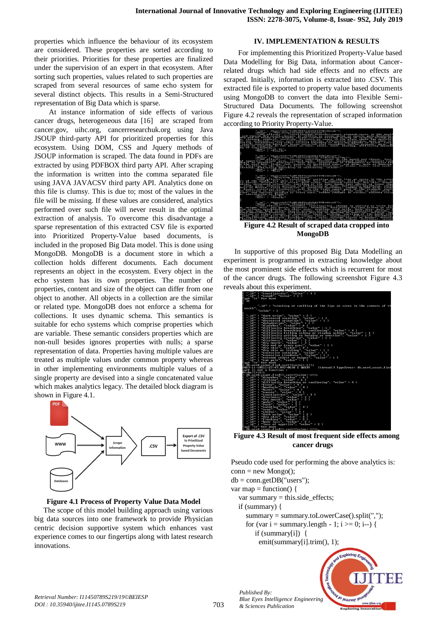properties which influence the behaviour of its ecosystem are considered. These properties are sorted according to their priorities. Priorities for these properties are finalized under the supervision of an expert in that ecosystem. After sorting such properties, values related to such properties are scraped from several resources of same echo system for several distinct objects. This results in a Semi-Structured representation of Big Data which is sparse.

 At instance information of side effects of various cancer drugs, heterogeneous data [16] are scraped from cancer.gov, uihc.org, cancerresearchuk.org using Java JSOUP third-party API for prioritized properties for this ecosystem. Using DOM, CSS and Jquery methods of JSOUP information is scraped. The data found in PDFs are extracted by using PDFBOX third party API. After scraping the information is written into the comma separated file using JAVA JAVACSV third party API. Analytics done on this file is clumsy. This is due to; most of the values in the file will be missing. If these values are considered, analytics performed over such file will never result in the optimal extraction of analysis. To overcome this disadvantage a sparse representation of this extracted CSV file is exported into Prioritized Property-Value based documents, is included in the proposed Big Data model. This is done using MongoDB. MongoDB is a document store in which a collection holds different documents. Each document represents an object in the ecosystem. Every object in the echo system has its own properties. The number of properties, content and size of the object can differ from one object to another. All objects in a collection are the similar or related type. MongoDB does not enforce a schema for collections. It uses dynamic schema. This semantics is suitable for echo systems which comprise properties which are variable. These semantic considers properties which are non-null besides ignores properties with nulls; a sparse representation of data. Properties having multiple values are treated as multiple values under common property whereas in other implementing environments multiple values of a single property are devised into a single concatenated value which makes analytics legacy. The detailed block diagram is shown in Figure 4.1.



#### **Figure 4.1 Process of Property Value Data Model**

The scope of this model building approach using various big data sources into one framework to provide Physician centric decision supportive system which enhances vast experience comes to our fingertips along with latest research innovations.

#### **IV. IMPLEMENTATION & RESULTS**

 For implementing this Prioritized Property-Value based Data Modelling for Big Data, information about Cancerrelated drugs which had side effects and no effects are scraped. Initially, information is extracted into .CSV. This extracted file is exported to property value based documents using MongoDB to convert the data into Flexible Semi-Structured Data Documents. The following screenshot Figure 4.2 reveals the representation of scraped information according to Priority Property-Value.



**Figure 4.2 Result of scraped data cropped into MongoDB**

 In supportive of this proposed Big Data Modelling an experiment is programmed in extracting knowledge about the most prominent side effects which is recurrent for most of the cancer drugs. The following screenshot Figure 4.3 reveals about this experiment.

| .<br>ë<br>"_id" : "constipation", "value" : 3 >                                                                                                                                                                                                                    |
|--------------------------------------------------------------------------------------------------------------------------------------------------------------------------------------------------------------------------------------------------------------------|
| "_id" : "cough", "value" : 1 >                                                                                                                                                                                                                                     |
| Type "it" for more                                                                                                                                                                                                                                                 |
| 'it                                                                                                                                                                                                                                                                |
|                                                                                                                                                                                                                                                                    |
| "_id": "cracking or swelling of the lips or sores in the corners of th                                                                                                                                                                                             |
|                                                                                                                                                                                                                                                                    |
| nouth", "value": 1                                                                                                                                                                                                                                                 |
| " id" :<br>"dark urine", "value" : 2 >                                                                                                                                                                                                                             |
| "decreased sweating", "value" : 1 ><br>"decreased urination", "value" : 1 ><br>"dehydration", "value" : 1 ><br>$-14.4$<br>ı                                                                                                                                        |
| $"$ -id"<br>ı                                                                                                                                                                                                                                                      |
| $"$ -id"                                                                                                                                                                                                                                                           |
| "diarrhea", "value" : 6 ><br>"Lid"<br>÷                                                                                                                                                                                                                            |
| $"$ -id"<br>"difficulty breathing", "value" : 1 ><br>ı                                                                                                                                                                                                             |
| $"$ id" :<br>"difficulty breathing or swallowing", "value" : 4 >                                                                                                                                                                                                   |
| $"$ id" :                                                                                                                                                                                                                                                          |
| "Lid"<br>٠<br>$"$ id" :                                                                                                                                                                                                                                            |
| $-77.$<br>٠                                                                                                                                                                                                                                                        |
| "difficulty falling asleep or staying asleep". "value" : 1 ><br>"difficulty getting or keeping asleep". "value" : 1 ><br>"difficulty urinating". "value" : 1 ><br>"dizziness". "value" : 3 ><br>"dry nouth". "value" : 3 ><br>"dry nouth". "v<br>"Lid"<br>٠        |
|                                                                                                                                                                                                                                                                    |
|                                                                                                                                                                                                                                                                    |
|                                                                                                                                                                                                                                                                    |
| $\frac{1.40}{1.40}$ : $\frac{0.40}{0.49}$ wed or teary eyes", "value" : 1 ><br>$\frac{1.40}{1.40}$ : "dry skin', "value" : 2 ><br>$\frac{1.40}{1.40}$ : "dry skin' or itching", "value" : 1 ><br>$\frac{1.40}{1.40}$ : "dry skin or itching", "value" : 1 ><br>$\$ |
|                                                                                                                                                                                                                                                                    |
| "_id" : "extreme thirst or hunger", "value" : 1 >                                                                                                                                                                                                                  |
| "Lid" : "eve pain", "value" : ī ><br>Tupe "it" for more                                                                                                                                                                                                            |
| db.word_count.find.sort((value:-1));                                                                                                                                                                                                                               |
| 2017-11-10T11:27:47.047+0530 E QUERY<br>[thread1] TypeError: db.word_count.find                                                                                                                                                                                    |
| sort is not a function :                                                                                                                                                                                                                                           |
| <b>@<shell>:1:1</shell></b>                                                                                                                                                                                                                                        |
| db.word_count.find().sort((value:-1));<br>"_id": "diarrhea", "value": 6 )<br>"_id": "itching", "value": 6 )                                                                                                                                                        |
|                                                                                                                                                                                                                                                                    |
|                                                                                                                                                                                                                                                                    |
| " id" :<br>"difficulty breathing or swallowing", "value" : 4 ><br>" id"<br>"fever", "value" : $4$ )                                                                                                                                                                |
| ٠<br>" id" :<br>"headache", "value" : 4 >                                                                                                                                                                                                                          |
| "hives", "value" : 4 ><br>$"$ id" :                                                                                                                                                                                                                                |
| "nausea", "value" : 4)<br>$"$ id" :                                                                                                                                                                                                                                |
| "constipation", "value" : 3 ><br>" id" :                                                                                                                                                                                                                           |
| $"$ id" :<br>"dizziness", "value" : 3 ><br>"dry mouth", "value" : 3 >                                                                                                                                                                                              |
| $"id"$ :                                                                                                                                                                                                                                                           |
| " id" :<br>"pain", "value" : 3 ><br>"rash", "value" : 3 >                                                                                                                                                                                                          |
| $"$ id" :<br>$\overline{\mathbf{u}}$ id"                                                                                                                                                                                                                           |
| ٠<br>$"id"$ :                                                                                                                                                                                                                                                      |
| "voniting", "value" : 3 ><br>"acne", "value" : 2 ><br>"chills", "value" : 2 ><br>$"id"$ :                                                                                                                                                                          |
|                                                                                                                                                                                                                                                                    |
|                                                                                                                                                                                                                                                                    |
| "_id" : "dark urine", "value" : 2 ><br>"_id" : "dry skin", "value" : 2 ><br>"_id" : "flushing", "value" : 2 >                                                                                                                                                      |
| "hair loss", "value" : 2 ><br>$"$ -id"<br>÷                                                                                                                                                                                                                        |
| "_id": "loss of appetite", "value": 2 >                                                                                                                                                                                                                            |
| upe "it" for nore                                                                                                                                                                                                                                                  |
| > db word count find() cort((ualue:-1)):                                                                                                                                                                                                                           |

**Figure 4.3 Result of most frequent side effects among cancer drugs**

Pseudo code used for performing the above analytics is:  $conn = new Mongo$ ;  $db = conn.getDB("users");$ var map = function() { var summary  $=$  this.side effects; if (summary) { summary = summary.toLowerCase().split(","); for (var  $i =$  summary.length - 1;  $i \ge 0$ ;  $i$ --) { if (summary[i]) {

emit(summary[i].trim(), 1);

*Published By:* V Jo Jeumor le *Blue Eyes Intelligence Engineering & Sciences Publication* 

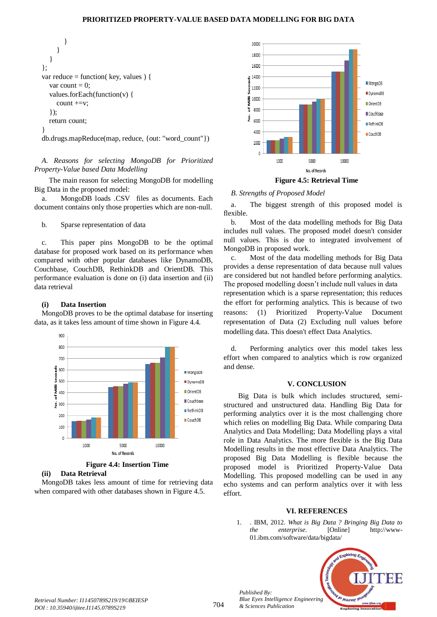#### **PRIORITIZED PROPERTY-VALUE BASED DATA MODELLING FOR BIG DATA**

 } } } }; var reduce = function( key, values ) { var count = 0; values.forEach(function(v) { count +=v; }); return count; }

db.drugs.mapReduce(map, reduce, {out: "word\_count"})

*A. Reasons for selecting MongoDB for Prioritized Property-Value based Data Modelling*

 The main reason for selecting MongoDB for modelling Big Data in the proposed model:

a. MongoDB loads .CSV files as documents. Each document contains only those properties which are non-null.

b. Sparse representation of data

c. This paper pins MongoDB to be the optimal database for proposed work based on its performance when compared with other popular databases like DynamoDB, Couchbase, CouchDB, RethinkDB and OrientDB. This performance evaluation is done on (i) data insertion and (ii) data retrieval

#### **(i) Data Insertion**

MongoDB proves to be the optimal database for inserting data, as it takes less amount of time shown in Figure 4.4.



**Figure 4.4: Insertion Time**

#### **(ii) Data Retrieval**

MongoDB takes less amount of time for retrieving data when compared with other databases shown in Figure 4.5.



# *B. Strengths of Proposed Model*

a. The biggest strength of this proposed model is flexible.

b. Most of the data modelling methods for Big Data includes null values. The proposed model doesn't consider null values. This is due to integrated involvement of MongoDB in proposed work.

c. Most of the data modelling methods for Big Data provides a dense representation of data because null values are considered but not handled before performing analytics. The proposed modelling doesn't include null values in data representation which is a sparse representation; this reduces the effort for performing analytics. This is because of two reasons: (1) Prioritized Property-Value Document representation of Data (2) Excluding null values before modelling data. This doesn't effect Data Analytics.

d. Performing analytics over this model takes less effort when compared to analytics which is row organized and dense.

#### **V. CONCLUSION**

 Big Data is bulk which includes structured, semistructured and unstructured data. Handling Big Data for performing analytics over it is the most challenging chore which relies on modelling Big Data. While comparing Data Analytics and Data Modelling; Data Modelling plays a vital role in Data Analytics. The more flexible is the Big Data Modelling results in the most effective Data Analytics. The proposed Big Data Modelling is flexible because the proposed model is Prioritized Property-Value Data Modelling. This proposed modelling can be used in any echo systems and can perform analytics over it with less effort.

#### **VI. REFERENCES**

1. . IBM, 2012. *What is Big Data ? Bringing Big Data to the enterprise*. [Online] http://www-01.ibm.com/software/data/bigdata/



*Published By:*

*& Sciences Publication*